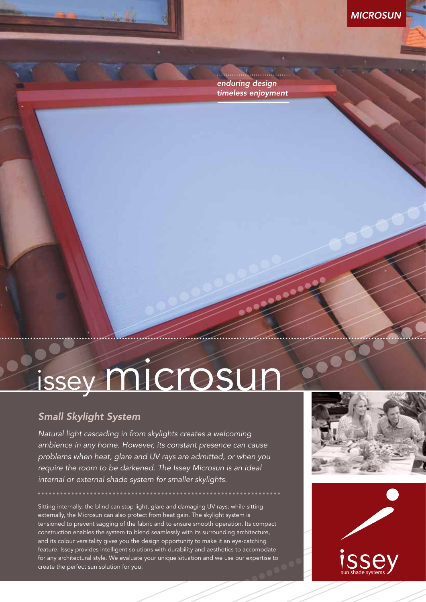

*enduring design timeless enjoyment*

# issey microsur

### **Small Skylight System**

*Natural light cascading in from skylights creates a welcoming ambience in any home. However, its constant presence can cause problems when heat, glare and UV rays are admitted, or when you require the room to be darkened. The Issey Microsun is an ideal internal or external shade system for smaller skylights.*

Sitting internally, the blind can stop light, glare and damaging UV rays; while sitting externally, the Microsun can also protect from heat gain. The skylight system is tensioned to prevent sagging of the fabric and to ensure smooth operation. Its compact construction enables the system to blend seamlessly with its surrounding architecture, and its colour versitality gives you the design opportunity to make it an eye-catching feature. Issey provides intelligent solutions with durability and aesthetics to accomodate for any architectural style. We evaluate your unique situation and we use our expertise to create the perfect sun solution for you.